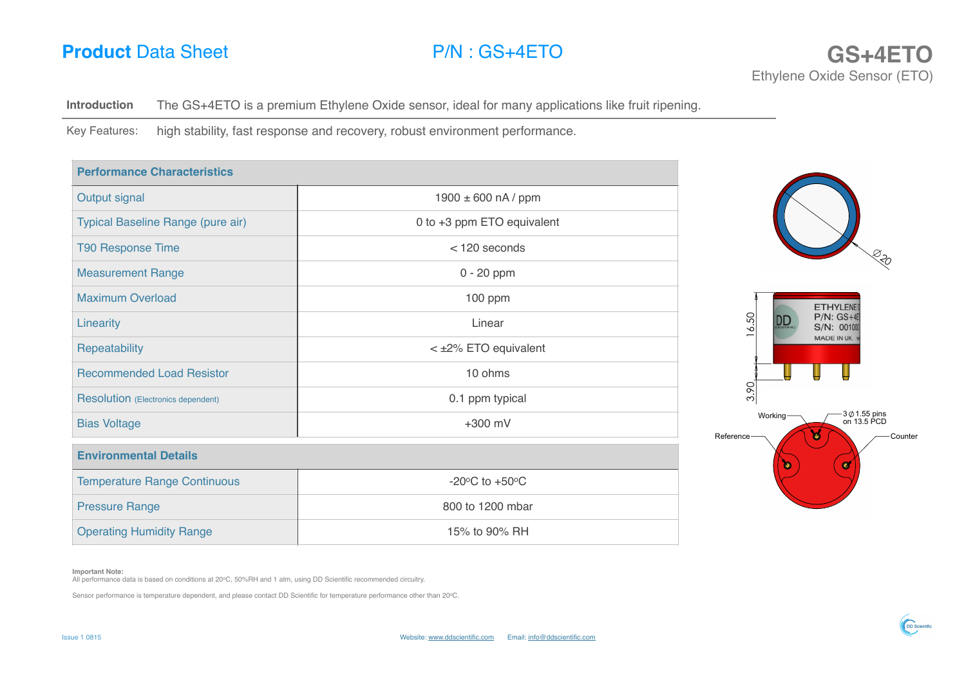

**Introduction** The GS+4ETO is a premium Ethylene Oxide sensor, ideal for many applications like fruit ripening.

Key Features: high stability, fast response and recovery, robust environment performance.

| $1900 \pm 600$ nA / ppm                      |                                                    |
|----------------------------------------------|----------------------------------------------------|
| 0 to +3 ppm ETO equivalent                   |                                                    |
| $<$ 120 seconds                              |                                                    |
| $0 - 20$ ppm                                 |                                                    |
| 100 ppm                                      | ETHYLENE(                                          |
| Linear                                       | 6.50<br>$P/N$ : $GS+4E$<br><u>DD</u><br>S/N: 00100 |
| < ±2% ETO equivalent                         | MADE IN UK.                                        |
| 10 ohms                                      |                                                    |
| 0.1 ppm typical                              | 3.90                                               |
| $+300$ mV                                    | $-3$ $\phi$ 1.55 pins<br>on 13.5 PCD<br>Working-   |
|                                              | Reference-<br>$\bullet$<br>Counter                 |
| -20 $\rm{^{\circ}C}$ to +50 $\rm{^{\circ}C}$ |                                                    |
| 800 to 1200 mbar                             |                                                    |
| 15% to 90% RH                                |                                                    |
|                                              |                                                    |

## **Important Note:**

All performance data is based on conditions at 20°C, 50%RH and 1 atm, using DD Scientific recommended circuitry.

Sensor performance is temperature dependent, and please contact DD Scientific for temperature performance other than 20oC.